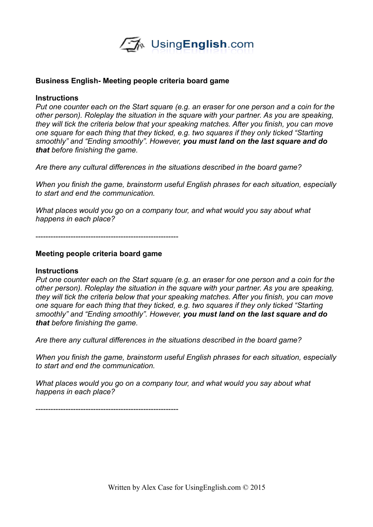

### **Business English- Meeting people criteria board game**

### **Instructions**

*Put one counter each on the Start square (e.g. an eraser for one person and a coin for the other person). Roleplay the situation in the square with your partner. As you are speaking, they will tick the criteria below that your speaking matches. After you finish, you can move one square for each thing that they ticked, e.g. two squares if they only ticked "Starting smoothly" and "Ending smoothly". However, you must land on the last square and do that before finishing the game.* 

*Are there any cultural differences in the situations described in the board game?*

*When you finish the game, brainstorm useful English phrases for each situation, especially to start and end the communication.* 

*What places would you go on a company tour, and what would you say about what happens in each place?*

---------------------------------------------------------

#### **Meeting people criteria board game**

#### **Instructions**

*Put one counter each on the Start square (e.g. an eraser for one person and a coin for the other person). Roleplay the situation in the square with your partner. As you are speaking, they will tick the criteria below that your speaking matches. After you finish, you can move one square for each thing that they ticked, e.g. two squares if they only ticked "Starting smoothly" and "Ending smoothly". However, you must land on the last square and do that before finishing the game.* 

*Are there any cultural differences in the situations described in the board game?*

*When you finish the game, brainstorm useful English phrases for each situation, especially to start and end the communication.* 

*What places would you go on a company tour, and what would you say about what happens in each place?*

---------------------------------------------------------